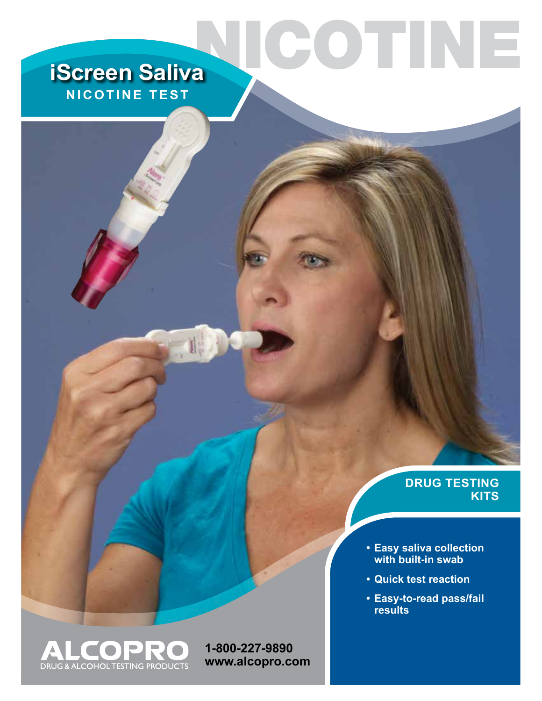# **iScreen Saliva NICOTINE TEST**

### **DRUG TESTING KITS**

- **• Easy saliva collection with built-in swab**
- **• Quick test reaction**

NICOTINE

**• Easy-to-read pass/fail results**



**1-800-227-9890 www.alcopro.com**